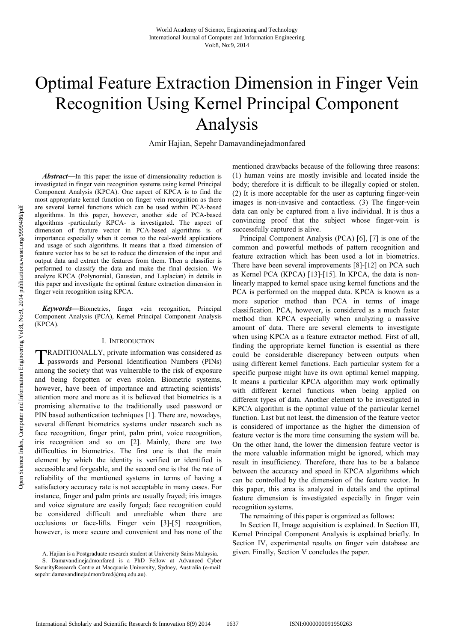# Optimal Feature Extraction Dimension in Finger Vein Recognition Using Kernel Principal Component Analysis

Amir Hajian, Sepehr Damavandinejadmonfared

*Abstract***—**In this paper the issue of dimensionality reduction is investigated in finger vein recognition systems using kernel Principal Component Analysis (KPCA). One aspect of KPCA is to find the most appropriate kernel function on finger vein recognition as there are several kernel functions which can be used within PCA-based algorithms. In this paper, however, another side of PCA-based algorithms -particularly KPCA- is investigated. The aspect of dimension of feature vector in PCA-based algorithms is of importance especially when it comes to the real-world applications and usage of such algorithms. It means that a fixed dimension of feature vector has to be set to reduce the dimension of the input and output data and extract the features from them. Then a classifier is performed to classify the data and make the final decision. We analyze KPCA (Polynomial, Gaussian, and Laplacian) in details in this paper and investigate the optimal feature extraction dimension in finger vein recognition using KPCA.

*Keywords***—**Biometrics, finger vein recognition, Principal Component Analysis (PCA), Kernel Principal Component Analysis (KPCA).

# I. INTRODUCTION

RADITIONALLY, private information was considered as TRADITIONALLY, private information was considered as passwords and Personal Identification Numbers (PINs) among the society that was vulnerable to the risk of exposure and being forgotten or even stolen. Biometric systems, however, have been of importance and attracting scientists' attention more and more as it is believed that biometrics is a promising alternative to the traditionally used password or PIN based authentication techniques [1]. There are, nowadays, several different biometrics systems under research such as face recognition, finger print, palm print, voice recognition, iris recognition and so on [2]. Mainly, there are two difficulties in biometrics. The first one is that the main element by which the identity is verified or identified is accessible and forgeable, and the second one is that the rate of reliability of the mentioned systems in terms of having a satisfactory accuracy rate is not acceptable in many cases. For instance, finger and palm prints are usually frayed; iris images and voice signature are easily forged; face recognition could be considered difficult and unreliable when there are occlusions or face-lifts. Finger vein [3]-[5] recognition, however, is more secure and convenient and has none of the

mentioned drawbacks because of the following three reasons: (1) human veins are mostly invisible and located inside the body; therefore it is difficult to be illegally copied or stolen. (2) It is more acceptable for the user as capturing finger-vein images is non-invasive and contactless. (3) The finger-vein data can only be captured from a live individual. It is thus a convincing proof that the subject whose finger-vein is successfully captured is alive.

Principal Component Analysis (PCA) [6], [7] is one of the common and powerful methods of pattern recognition and feature extraction which has been used a lot in biometrics. There have been several improvements [8]-[12] on PCA such as Kernel PCA (KPCA) [13]-[15]. In KPCA, the data is nonlinearly mapped to kernel space using kernel functions and the PCA is performed on the mapped data. KPCA is known as a more superior method than PCA in terms of image classification. PCA, however, is considered as a much faster method than KPCA especially when analyzing a massive amount of data. There are several elements to investigate when using KPCA as a feature extractor method. First of all, finding the appropriate kernel function is essential as there could be considerable discrepancy between outputs when using different kernel functions. Each particular system for a specific purpose might have its own optimal kernel mapping. It means a particular KPCA algorithm may work optimally with different kernel functions when being applied on different types of data. Another element to be investigated in KPCA algorithm is the optimal value of the particular kernel function. Last but not least, the dimension of the feature vector is considered of importance as the higher the dimension of feature vector is the more time consuming the system will be. On the other hand, the lower the dimension feature vector is the more valuable information might be ignored, which may result in insufficiency. Therefore, there has to be a balance between the accuracy and speed in KPCA algorithms which can be controlled by the dimension of the feature vector. In this paper, this area is analyzed in details and the optimal feature dimension is investigated especially in finger vein recognition systems.

The remaining of this paper is organized as follows:

In Section II, Image acquisition is explained. In Section III, Kernel Principal Component Analysis is explained briefly. In Section IV, experimental results on finger vein database are given. Finally, Section V concludes the paper.

A. Hajian is a Postgraduate research student at University Sains Malaysia.

S. Damavandinejadmonfared is a PhD Fellow at Advanced Cyber SecurityResearch Centre at Macquarie University, Sydney, Australia (e-mail: sepehr.damavandinejadmonfared@mq.edu.au).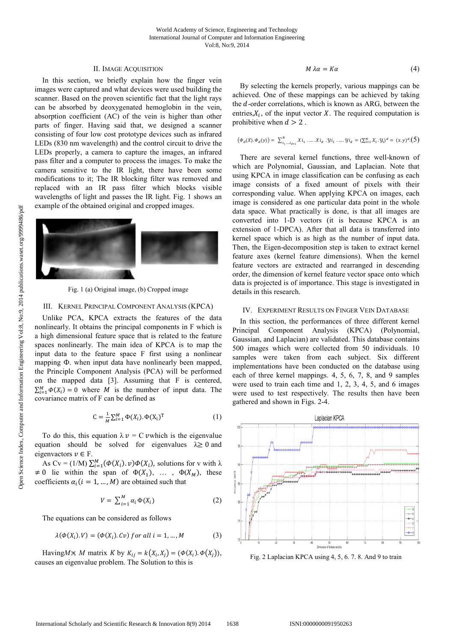# II. IMAGE ACQUISITION

In this section, we briefly explain how the finger vein images were captured and what devices were used building the scanner. Based on the proven scientific fact that the light rays can be absorbed by deoxygenated hemoglobin in the vein, absorption coefficient (AC) of the vein is higher than other parts of finger. Having said that, we designed a scanner consisting of four low cost prototype devices such as infrared LEDs (830 nm wavelength) and the control circuit to drive the LEDs properly, a camera to capture the images, an infrared pass filter and a computer to process the images. To make the camera sensitive to the IR light, there have been some modifications to it; The IR blocking filter was removed and replaced with an IR pass filter which blocks visible wavelengths of light and passes the IR light. Fig. 1 shows an example of the obtained original and cropped images.



Fig. 1 (a) Original image, (b) Cropped image

#### III. KERNEL PRINCIPAL COMPONENT ANALYSIS (KPCA)

Unlike PCA, KPCA extracts the features of the data nonlinearly. It obtains the principal components in F which is a high dimensional feature space that is related to the feature spaces nonlinearly. The main idea of KPCA is to map the input data to the feature space F first using a nonlinear mapping Ф. when input data have nonlinearly been mapped, the Principle Component Analysis (PCA) will be performed on the mapped data [3]. Assuming that F is centered,  $\sum_{i=1}^{M} \Phi(X_i) = 0$  where *M* is the number of input data. The covariance matrix of F can be defined as

$$
C = \frac{1}{M} \sum_{i=1}^{M} \Phi(X_i). \Phi(X_i)^T
$$
 (1)

To do this, this equation  $\lambda v = C v$  which is the eigenvalue equation should be solved for eigenvalues  $\lambda \ge 0$  and eigenvactors  $v \in F$ .

As  $Cv = (1/M) \sum_{i=1}^{M} (\Phi(X_i), v) \Phi(X_i)$ , solutions for v with  $\lambda$  $\neq 0$  lie within the span of  $\Phi(X_1), \ldots, \Phi(X_M)$ , these coefficients  $\alpha_i$  ( $i = 1, ..., M$ ) are obtained such that

$$
V = \sum_{i=1}^{M} \alpha_i \Phi(X_i) \tag{2}
$$

The equations can be considered as follows

$$
\lambda(\Phi(X_i).V) = (\Phi(X_i).Cv) \text{ for all } i = 1, \dots, M \tag{3}
$$

Having *M* × *M* matrix *K* by  $K_{ij} = k(X_i, X_j) = (\Phi(X_i) \cdot \Phi(X_j)),$ causes an eigenvalue problem. The Solution to this is

$$
M \lambda \alpha = K \alpha \tag{4}
$$

By selecting the kernels properly, various mappings can be achieved. One of these mappings can be achieved by taking the  $d$ -order correlations, which is known as ARG, between the entries, $X_i$ , of the input vector X. The required computation is prohibitive when  $d > 2$ .

$$
\big(\varPhi_{d}(X).\varPhi_{d}(y)\big)=\ \textstyle\sum_{i_{1}, \ldots, i_{d-1}}^{N} {\mathcal X} i_{1}\ , \ldots .{\mathcal X} i_{d}\ \cdot {\mathcal Y} i_{1}\ , \ldots .{\mathcal Y} i_{d}\ = (\textstyle\sum_{i=1}^{N} {\mathcal X}_{i}\cdot {\mathcal Y}_{i})^{d}=\ (x,y)^{d}\cdot \big(5\big)
$$

There are several kernel functions, three well-known of which are Polynomial, Gaussian, and Laplacian. Note that using KPCA in image classification can be confusing as each image consists of a fixed amount of pixels with their corresponding value. When applying KPCA on images, each image is considered as one particular data point in the whole data space. What practically is done, is that all images are converted into 1-D vectors (it is because KPCA is an extension of 1-DPCA). After that all data is transferred into kernel space which is as high as the number of input data. Then, the Eigen-decomposition step is taken to extract kernel feature axes (kernel feature dimensions). When the kernel feature vectors are extracted and rearranged in descending order, the dimension of kernel feature vector space onto which data is projected is of importance. This stage is investigated in details in this research.

#### IV. EXPERIMENT RESULTS ON FINGER VEIN DATABASE

In this section, the performances of three different kernel Principal Component Analysis (KPCA) (Polynomial, Gaussian, and Laplacian) are validated. This database contains 500 images which were collected from 50 individuals. 10 samples were taken from each subject. Six different implementations have been conducted on the database using each of three kernel mappings. 4, 5, 6, 7, 8, and 9 samples were used to train each time and 1, 2, 3, 4, 5, and 6 images were used to test respectively. The results then have been gathered and shown in Figs. 2-4.



Fig. 2 Laplacian KPCA using 4, 5, 6. 7. 8. And 9 to train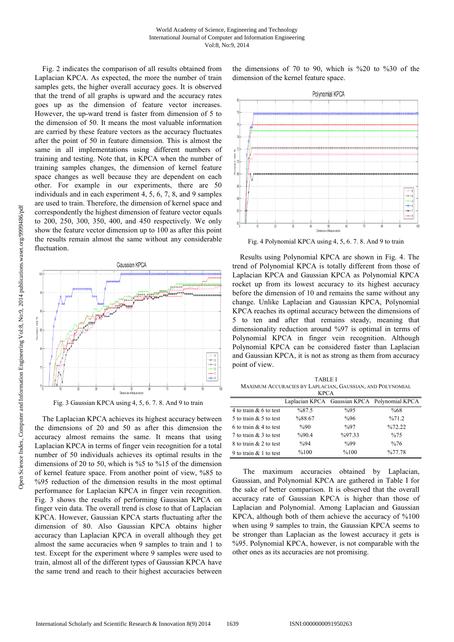Fig. 2 indicates the comparison of all results obtained from Laplacian KPCA. As expected, the more the number of train samples gets, the higher overall accuracy goes. It is observed that the trend of all graphs is upward and the accuracy rates goes up as the dimension of feature vector increases. However, the up-ward trend is faster from dimension of 5 to the dimension of 50. It means the most valuable information are carried by these feature vectors as the accuracy fluctuates after the point of 50 in feature dimension. This is almost the same in all implementations using different numbers of training and testing. Note that, in KPCA when the number of training samples changes, the dimension of kernel feature space changes as well because they are dependent on each other. For example in our experiments, there are 50 individuals and in each experiment 4, 5, 6, 7, 8, and 9 samples are used to train. Therefore, the dimension of kernel space and correspondently the highest dimension of feature vector equals to 200, 250, 300, 350, 400, and 450 respectively. We only show the feature vector dimension up to 100 as after this point the results remain almost the same without any considerable fluctuation.



Fig. 3 Gaussian KPCA using 4, 5, 6. 7. 8. And 9 to train

The Laplacian KPCA achieves its highest accuracy between the dimensions of 20 and 50 as after this dimension the accuracy almost remains the same. It means that using Laplacian KPCA in terms of finger vein recognition for a total number of 50 individuals achieves its optimal results in the dimensions of 20 to 50, which is %5 to %15 of the dimension of kernel feature space. From another point of view, %85 to %95 reduction of the dimension results in the most optimal performance for Laplacian KPCA in finger vein recognition. Fig. 3 shows the results of performing Gaussian KPCA on finger vein data. The overall trend is close to that of Laplacian KPCA. However, Gaussian KPCA starts fluctuating after the dimension of 80. Also Gaussian KPCA obtains higher accuracy than Laplacian KPCA in overall although they get almost the same accuracies when 9 samples to train and 1 to test. Except for the experiment where 9 samples were used to train, almost all of the different types of Gaussian KPCA have the same trend and reach to their highest accuracies between the dimensions of 70 to 90, which is %20 to %30 of the dimension of the kernel feature space.



Fig. 4 Polynomial KPCA using 4, 5, 6. 7. 8. And 9 to train

Results using Polynomial KPCA are shown in Fig. 4. The trend of Polynomial KPCA is totally different from those of Laplacian KPCA and Gaussian KPCA as Polynomial KPCA rocket up from its lowest accuracy to its highest accuracy before the dimension of 10 and remains the same without any change. Unlike Laplacian and Gaussian KPCA, Polynomial KPCA reaches its optimal accuracy between the dimensions of 5 to ten and after that remains steady, meaning that dimensionality reduction around %97 is optimal in terms of Polynomial KPCA in finger vein recognition. Although Polynomial KPCA can be considered faster than Laplacian and Gaussian KPCA, it is not as strong as them from accuracy point of view.

TABLE I MAXIMUM ACCURACIES BY LAPLACIAN, GAUSSIAN, AND POLYNOMIAL

| <b>KPCA</b>              |                |                |                                              |
|--------------------------|----------------|----------------|----------------------------------------------|
|                          |                |                | Laplacian KPCA Gaussian KPCA Polynomial KPCA |
| 4 to train & 6 to test   | %87.5          | $\%95$         | %68                                          |
| 5 to train $&$ 5 to test | %88.67         | %96            | %71.2                                        |
| 6 to train $& 4$ to test | $\%90$         | $\frac{9}{97}$ | $\frac{9}{672}$ 22                           |
| 7 to train $& 3$ to test | %90.4          | %97.33         | %75                                          |
| 8 to train $& 2$ to test | $\frac{9}{94}$ | $\%99$         | %76                                          |
| 9 to train $& 1$ to test | %100           | %100           | %77.78                                       |

The maximum accuracies obtained by Laplacian, Gaussian, and Polynomial KPCA are gathered in Table I for the sake of better comparison. It is observed that the overall accuracy rate of Gaussian KPCA is higher than those of Laplacian and Polynomial. Among Laplacian and Gaussian KPCA, although both of them achieve the accuracy of %100 when using 9 samples to train, the Gaussian KPCA seems to be stronger than Laplacian as the lowest accuracy it gets is %95. Polynomial KPCA, however, is not comparable with the other ones as its accuracies are not promising.